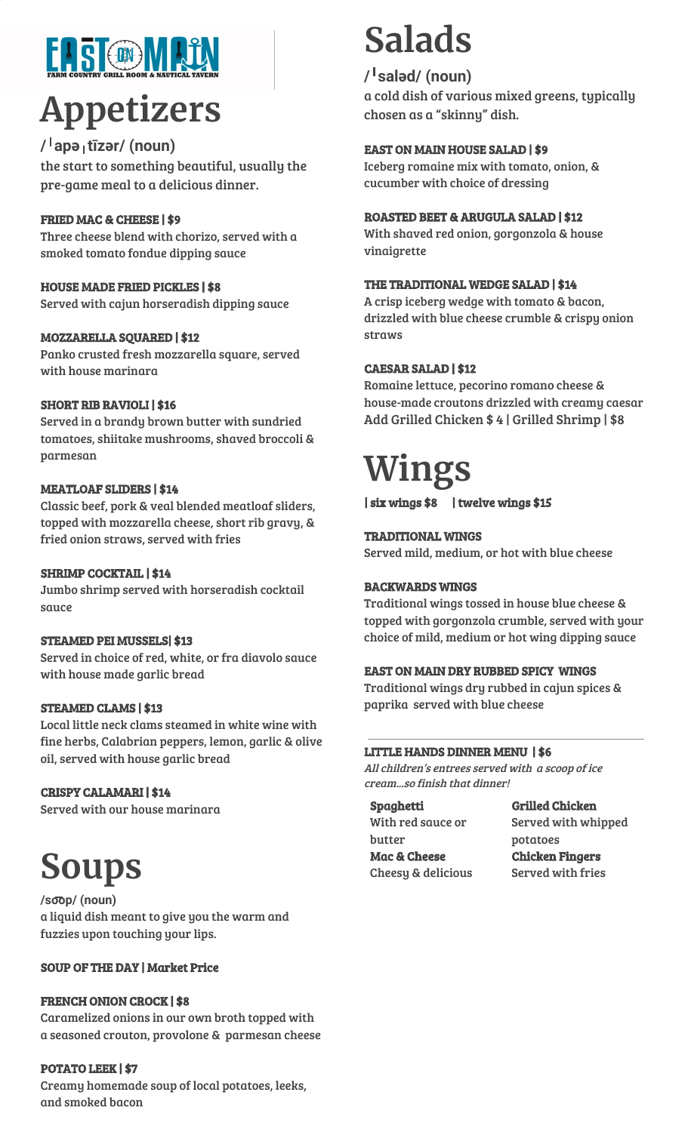# **TIS ODVITA**

# **Appetizers**

### **/**ˈ**apə**ˌ**tīzər/ (noun)**

the start to something beautiful, usually the pre-game meal to a delicious dinner.

### FRIED MAC & CHEESE | \$9

Three cheese blend with chorizo, served with a smoked tomato fondue dipping sauce

### HOUSE MADE FRIED PICKLES | \$8

Served with cajun horseradish dipping sauce

### MOZZARELLA SQUARED | \$12

Panko crusted fresh mozzarella square, served with house marinara

### SHORT RIB RAVIOLI | \$16

Served in a brandy brown butter with sundried tomatoes, shiitake mushrooms, shaved broccoli & parmesan

### MEATLOAF SLIDERS | \$14

Classic beef, pork & veal blended meatloaf sliders, topped with mozzarella cheese, short rib gravy, & fried onion straws, served with fries

### SHRIMP COCKTAIL | \$14

Jumbo shrimp served with horseradish cocktail sauce

### STEAMED PEI MUSSELS| \$13

Served in choice of red, white, or fra diavolo sauce with house made garlic bread

### STEAMED CLAMS | \$13

Local little neck clams steamed in white wine with fine herbs, Calabrian peppers, lemon, garlic & olive oil, served with house garlic bread

### CRISPY CALAMARI | \$14

Served with our house marinara

## **Soups**

**/so**͞**op/ (noun)** a liquid dish meant to give you the warm and fuzzies upon touching your lips.

### SOUP OF THE DAY | Market Price

### FRENCH ONION CROCK | \$8

Caramelized onions in our own broth topped with a seasoned crouton, provolone & parmesan cheese

### POTATO LEEK | \$7

Creamy homemade soup of local potatoes, leeks, and smoked bacon

## **Salads**

### **/**ˈ**saləd/ (noun)**

a cold dish of various mixed greens, typically chosen as a "skinny" dish.

### EAST ON MAIN HOUSE SALAD | \$9

Iceberg romaine mix with tomato, onion, & cucumber with choice of dressing

### ROASTED BEET & ARUGULA SALAD | \$12

With shaved red onion, gorgonzola & house vinaigrette

### THE TRADITIONAL WEDGE SALAD | \$14

A crisp iceberg wedge with tomato & bacon, drizzled with blue cheese crumble & crispy onion straws

### CAESAR SALAD | \$12

Romaine lettuce, pecorino romano cheese & house-made croutons drizzled with creamy caesar Add Grilled Chicken \$ 4 | Grilled Shrimp | \$8

## **Wings**

| six wings \$8 | twelve wings \$15

### TRADITIONAL WINGS

Served mild, medium, or hot with blue cheese

### BACKWARDS WINGS

Traditional wings tossed in house blue cheese & topped with gorgonzola crumble, served with your choice of mild, medium or hot wing dipping sauce

### EAST ON MAIN DRY RUBBED SPICY WINGS

Traditional wings dry rubbed in cajun spices & paprika served with blue cheese

### LITTLE HANDS DINNER MENU | \$6

All children's entrees served with <sup>a</sup> scoop of ice cream...so finish that dinner!

Spaghetti With red sauce or butter Mac & Cheese Cheesy & delicious

Grilled Chicken Served with whipped potatoes Chicken Fingers Served with fries